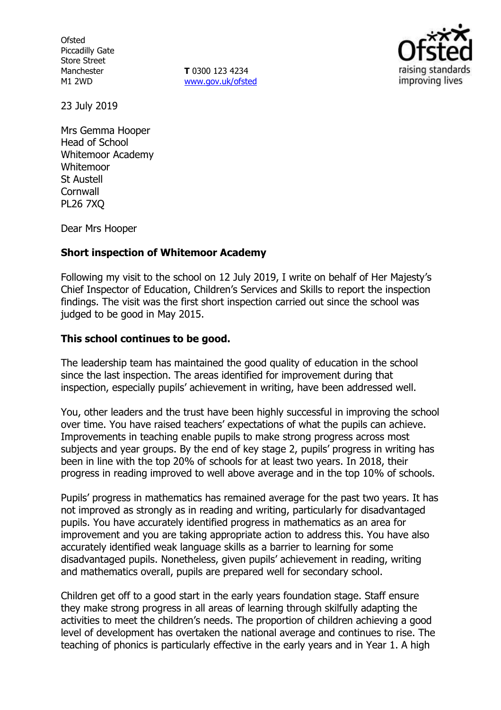**Ofsted** Piccadilly Gate Store Street Manchester M1 2WD

**T** 0300 123 4234 www.gov.uk/ofsted



23 July 2019

Mrs Gemma Hooper Head of School Whitemoor Academy Whitemoor St Austell **Cornwall** PL26 7XQ

Dear Mrs Hooper

### **Short inspection of Whitemoor Academy**

Following my visit to the school on 12 July 2019, I write on behalf of Her Majesty's Chief Inspector of Education, Children's Services and Skills to report the inspection findings. The visit was the first short inspection carried out since the school was judged to be good in May 2015.

### **This school continues to be good.**

The leadership team has maintained the good quality of education in the school since the last inspection. The areas identified for improvement during that inspection, especially pupils' achievement in writing, have been addressed well.

You, other leaders and the trust have been highly successful in improving the school over time. You have raised teachers' expectations of what the pupils can achieve. Improvements in teaching enable pupils to make strong progress across most subjects and year groups. By the end of key stage 2, pupils' progress in writing has been in line with the top 20% of schools for at least two years. In 2018, their progress in reading improved to well above average and in the top 10% of schools.

Pupils' progress in mathematics has remained average for the past two years. It has not improved as strongly as in reading and writing, particularly for disadvantaged pupils. You have accurately identified progress in mathematics as an area for improvement and you are taking appropriate action to address this. You have also accurately identified weak language skills as a barrier to learning for some disadvantaged pupils. Nonetheless, given pupils' achievement in reading, writing and mathematics overall, pupils are prepared well for secondary school.

Children get off to a good start in the early years foundation stage. Staff ensure they make strong progress in all areas of learning through skilfully adapting the activities to meet the children's needs. The proportion of children achieving a good level of development has overtaken the national average and continues to rise. The teaching of phonics is particularly effective in the early years and in Year 1. A high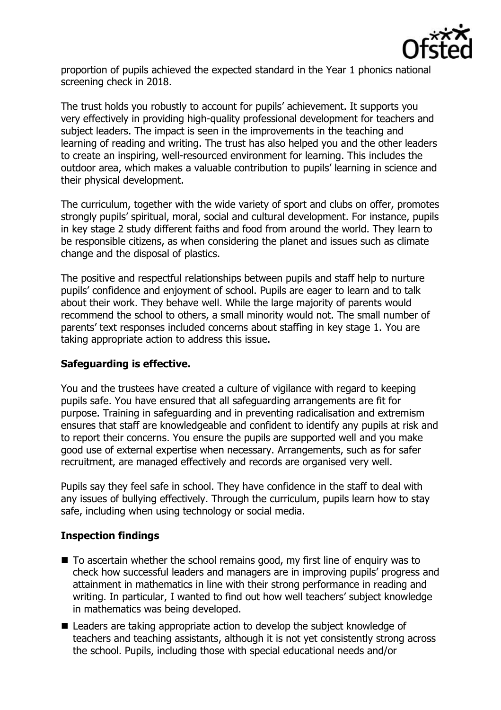

proportion of pupils achieved the expected standard in the Year 1 phonics national screening check in 2018.

The trust holds you robustly to account for pupils' achievement. It supports you very effectively in providing high-quality professional development for teachers and subject leaders. The impact is seen in the improvements in the teaching and learning of reading and writing. The trust has also helped you and the other leaders to create an inspiring, well-resourced environment for learning. This includes the outdoor area, which makes a valuable contribution to pupils' learning in science and their physical development.

The curriculum, together with the wide variety of sport and clubs on offer, promotes strongly pupils' spiritual, moral, social and cultural development. For instance, pupils in key stage 2 study different faiths and food from around the world. They learn to be responsible citizens, as when considering the planet and issues such as climate change and the disposal of plastics.

The positive and respectful relationships between pupils and staff help to nurture pupils' confidence and enjoyment of school. Pupils are eager to learn and to talk about their work. They behave well. While the large majority of parents would recommend the school to others, a small minority would not. The small number of parents' text responses included concerns about staffing in key stage 1. You are taking appropriate action to address this issue.

# **Safeguarding is effective.**

You and the trustees have created a culture of vigilance with regard to keeping pupils safe. You have ensured that all safeguarding arrangements are fit for purpose. Training in safeguarding and in preventing radicalisation and extremism ensures that staff are knowledgeable and confident to identify any pupils at risk and to report their concerns. You ensure the pupils are supported well and you make good use of external expertise when necessary. Arrangements, such as for safer recruitment, are managed effectively and records are organised very well.

Pupils say they feel safe in school. They have confidence in the staff to deal with any issues of bullying effectively. Through the curriculum, pupils learn how to stay safe, including when using technology or social media.

# **Inspection findings**

- To ascertain whether the school remains good, my first line of enquiry was to check how successful leaders and managers are in improving pupils' progress and attainment in mathematics in line with their strong performance in reading and writing. In particular, I wanted to find out how well teachers' subject knowledge in mathematics was being developed.
- Leaders are taking appropriate action to develop the subject knowledge of teachers and teaching assistants, although it is not yet consistently strong across the school. Pupils, including those with special educational needs and/or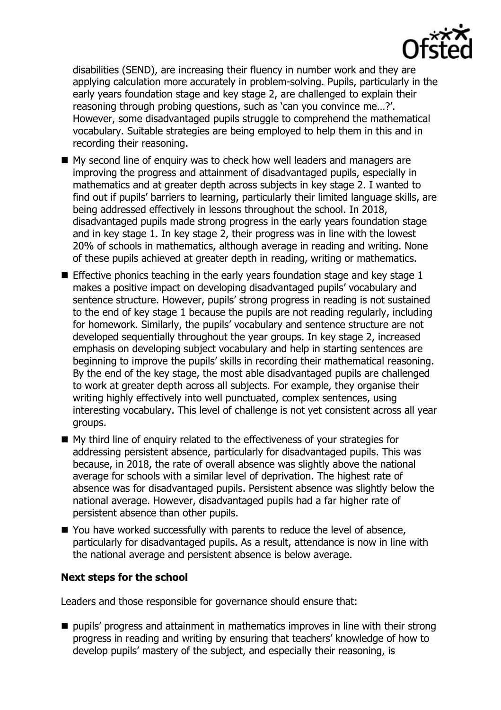

disabilities (SEND), are increasing their fluency in number work and they are applying calculation more accurately in problem-solving. Pupils, particularly in the early years foundation stage and key stage 2, are challenged to explain their reasoning through probing questions, such as 'can you convince me…?'. However, some disadvantaged pupils struggle to comprehend the mathematical vocabulary. Suitable strategies are being employed to help them in this and in recording their reasoning.

- My second line of enquiry was to check how well leaders and managers are improving the progress and attainment of disadvantaged pupils, especially in mathematics and at greater depth across subjects in key stage 2. I wanted to find out if pupils' barriers to learning, particularly their limited language skills, are being addressed effectively in lessons throughout the school. In 2018, disadvantaged pupils made strong progress in the early years foundation stage and in key stage 1. In key stage 2, their progress was in line with the lowest 20% of schools in mathematics, although average in reading and writing. None of these pupils achieved at greater depth in reading, writing or mathematics.
- **Effective phonics teaching in the early years foundation stage and key stage 1** makes a positive impact on developing disadvantaged pupils' vocabulary and sentence structure. However, pupils' strong progress in reading is not sustained to the end of key stage 1 because the pupils are not reading regularly, including for homework. Similarly, the pupils' vocabulary and sentence structure are not developed sequentially throughout the year groups. In key stage 2, increased emphasis on developing subject vocabulary and help in starting sentences are beginning to improve the pupils' skills in recording their mathematical reasoning. By the end of the key stage, the most able disadvantaged pupils are challenged to work at greater depth across all subjects. For example, they organise their writing highly effectively into well punctuated, complex sentences, using interesting vocabulary. This level of challenge is not yet consistent across all year groups.
- My third line of enquiry related to the effectiveness of your strategies for addressing persistent absence, particularly for disadvantaged pupils. This was because, in 2018, the rate of overall absence was slightly above the national average for schools with a similar level of deprivation. The highest rate of absence was for disadvantaged pupils. Persistent absence was slightly below the national average. However, disadvantaged pupils had a far higher rate of persistent absence than other pupils.
- You have worked successfully with parents to reduce the level of absence, particularly for disadvantaged pupils. As a result, attendance is now in line with the national average and persistent absence is below average.

## **Next steps for the school**

Leaders and those responsible for governance should ensure that:

**pupils' progress and attainment in mathematics improves in line with their strong** progress in reading and writing by ensuring that teachers' knowledge of how to develop pupils' mastery of the subject, and especially their reasoning, is